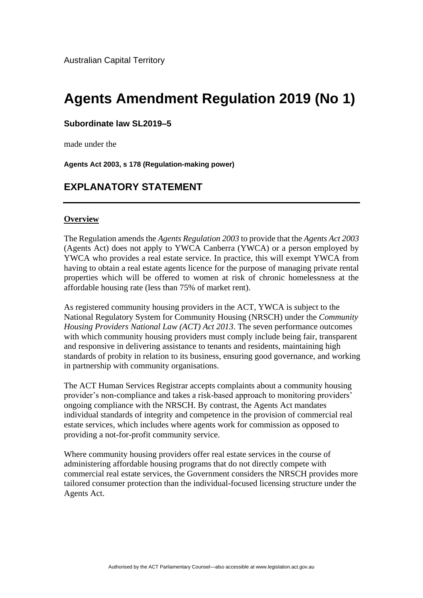# **Agents Amendment Regulation 2019 (No 1)**

#### **Subordinate law SL2019–5**

made under the

**Agents Act 2003, s 178 (Regulation-making power)**

# **EXPLANATORY STATEMENT**

#### **Overview**

The Regulation amends the *Agents Regulation 2003* to provide that the *Agents Act 2003* (Agents Act) does not apply to YWCA Canberra (YWCA) or a person employed by YWCA who provides a real estate service. In practice, this will exempt YWCA from having to obtain a real estate agents licence for the purpose of managing private rental properties which will be offered to women at risk of chronic homelessness at the affordable housing rate (less than 75% of market rent).

As registered community housing providers in the ACT, YWCA is subject to the National Regulatory System for Community Housing (NRSCH) under the *Community Housing Providers National Law (ACT) Act 2013*. The seven performance outcomes with which community housing providers must comply include being fair, transparent and responsive in delivering assistance to tenants and residents, maintaining high standards of probity in relation to its business, ensuring good governance, and working in partnership with community organisations.

The ACT Human Services Registrar accepts complaints about a community housing provider's non-compliance and takes a risk-based approach to monitoring providers' ongoing compliance with the NRSCH. By contrast, the Agents Act mandates individual standards of integrity and competence in the provision of commercial real estate services, which includes where agents work for commission as opposed to providing a not-for-profit community service.

Where community housing providers offer real estate services in the course of administering affordable housing programs that do not directly compete with commercial real estate services, the Government considers the NRSCH provides more tailored consumer protection than the individual-focused licensing structure under the Agents Act.